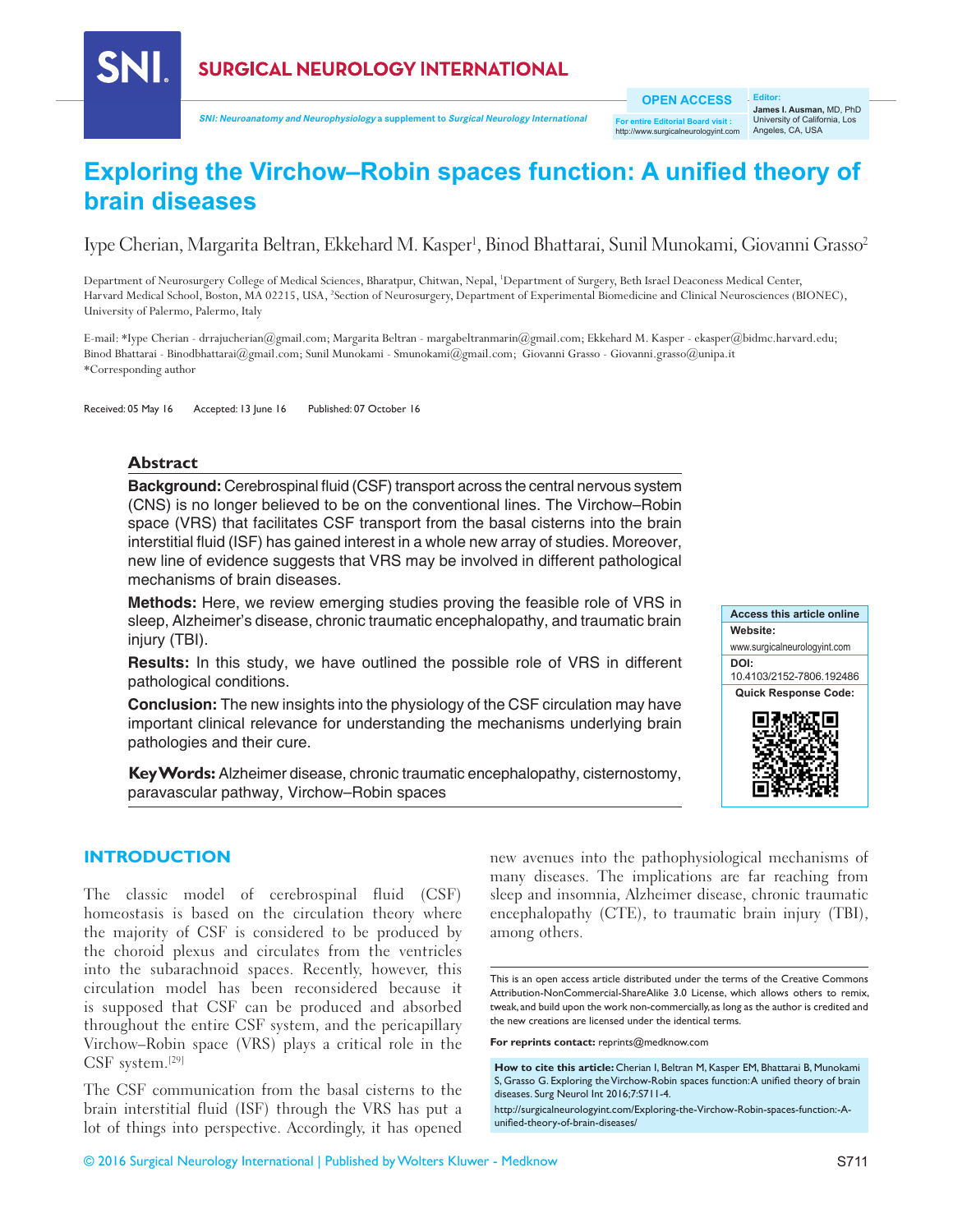

**SNI: Neuroanatomy and Neurophysiology a supplement to Surgical Neurology International**

**OPEN ACCESS**

**For entire Editorial Board visit :** w.surgicalneurologyint.com

**Editor: James I. Ausman,** MD, PhD University of California, Los Angeles, CA, USA

# **Exploring the Virchow–Robin spaces function: A unified theory of brain diseases**

Iype Cherian, Margarita Beltran, Ekkehard M. Kasper<sup>ı</sup>, Binod Bhattarai, Sunil Munokami, Giovanni Grasso<sup>2</sup>

Department of Neurosurgery College of Medical Sciences, Bharatpur, Chitwan, Nepal, 1 Department of Surgery, Beth Israel Deaconess Medical Center, Harvard Medical School, Boston, MA 02215, USA, <sup>2</sup>Section of Neurosurgery, Department of Experimental Biomedicine and Clinical Neurosciences (BIONEC), University of Palermo, Palermo, Italy

E‑mail: \*Iype Cherian ‑ drrajucherian@gmail.com; Margarita Beltran - margabeltranmarin@gmail.com; Ekkehard M. Kasper - ekasper@bidmc.harvard.edu; Binod Bhattarai ‑ Binodbhattarai@gmail.com; Sunil Munokami ‑ Smunokami@gmail.com; Giovanni Grasso ‑ Giovanni.grasso@unipa.it \*Corresponding author

Received: 05 May 16 Accepted: 13 June 16 Published: 07 October 16

#### **Abstract**

**SNI** 

**Background:** Cerebrospinal fluid (CSF) transport across the central nervous system (CNS) is no longer believed to be on the conventional lines. The Virchow–Robin space (VRS) that facilitates CSF transport from the basal cisterns into the brain interstitial fluid (ISF) has gained interest in a whole new array of studies. Moreover, new line of evidence suggests that VRS may be involved in different pathological mechanisms of brain diseases.

**Methods:** Here, we review emerging studies proving the feasible role of VRS in sleep, Alzheimer's disease, chronic traumatic encephalopathy, and traumatic brain injury (TBI).

**Results:** In this study, we have outlined the possible role of VRS in different pathological conditions.

**Conclusion:** The new insights into the physiology of the CSF circulation may have important clinical relevance for understanding the mechanisms underlying brain pathologies and their cure.

**Key Words:** Alzheimer disease, chronic traumatic encephalopathy, cisternostomy, paravascular pathway, Virchow–Robin spaces



## **INTRODUCTION**

The classic model of cerebrospinal fluid (CSF) homeostasis is based on the circulation theory where the majority of CSF is considered to be produced by the choroid plexus and circulates from the ventricles into the subarachnoid spaces. Recently, however, this circulation model has been reconsidered because it is supposed that CSF can be produced and absorbed throughout the entire CSF system, and the pericapillary Virchow–Robin space (VRS) plays a critical role in the CSF system.[29]

The CSF communication from the basal cisterns to the brain interstitial fluid (ISF) through the VRS has put a lot of things into perspective. Accordingly, it has opened new avenues into the pathophysiological mechanisms of many diseases. The implications are far reaching from sleep and insomnia, Alzheimer disease, chronic traumatic encephalopathy (CTE), to traumatic brain injury (TBI), among others.

**For reprints contact:** reprints@medknow.com

**How to cite this article:** Cherian I, Beltran M, Kasper EM, Bhattarai B, Munokami S, Grasso G. Exploring the Virchow-Robin spaces function: A unified theory of brain diseases. Surg Neurol Int 2016;7:S711-4.

http://surgicalneurologyint.com/Exploring-the-Virchow-Robin-spaces-function:-Aunified-theory-of-brain-diseases/

This is an open access article distributed under the terms of the Creative Commons Attribution-NonCommercial-ShareAlike 3.0 License, which allows others to remix, tweak, and build upon the work non‑commercially, as long as the author is credited and the new creations are licensed under the identical terms.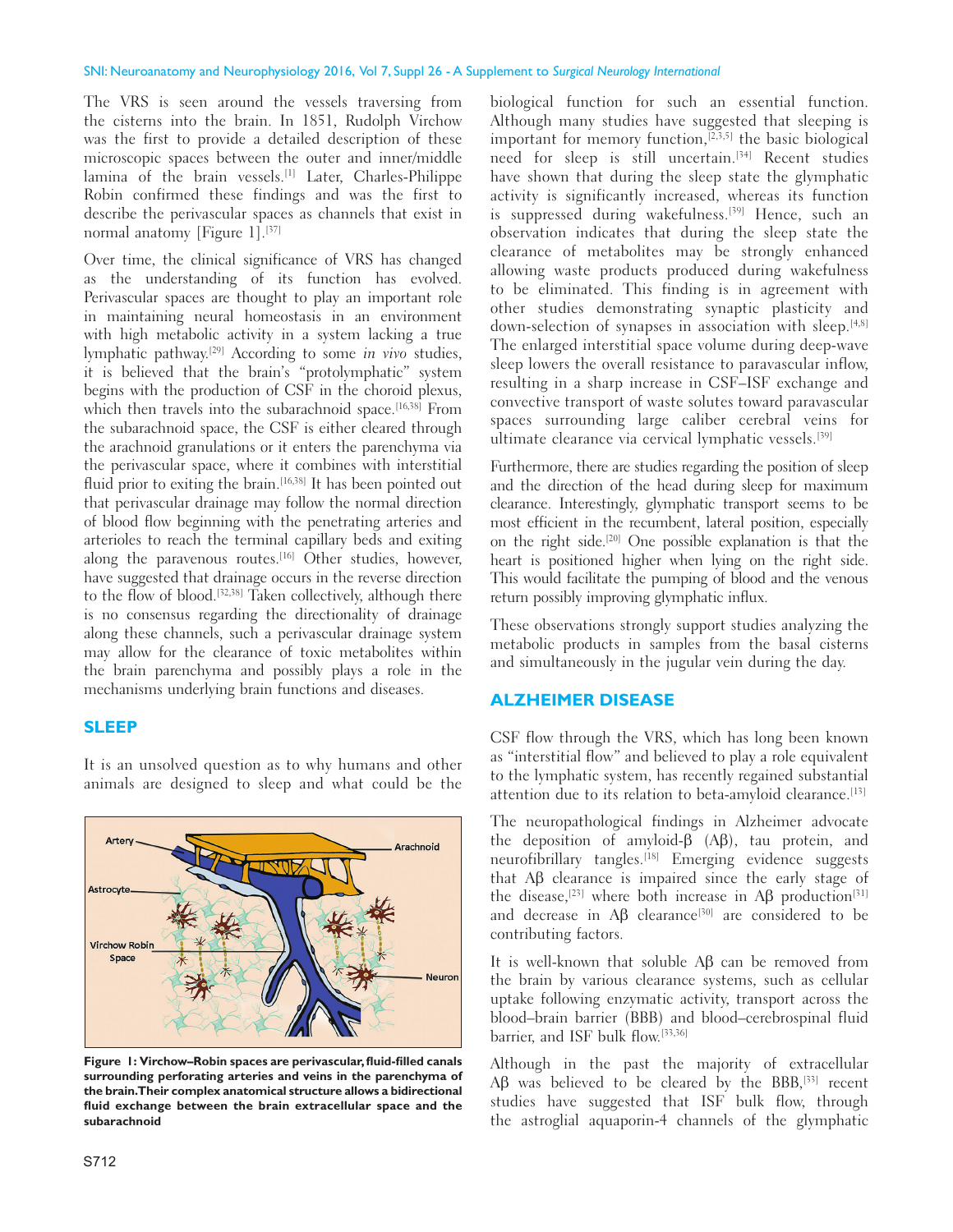The VRS is seen around the vessels traversing from the cisterns into the brain. In 1851, Rudolph Virchow was the first to provide a detailed description of these microscopic spaces between the outer and inner/middle lamina of the brain vessels.<sup>[1]</sup> Later, Charles-Philippe Robin confirmed these findings and was the first to describe the perivascular spaces as channels that exist in normal anatomy [Figure 1].[37]

Over time, the clinical significance of VRS has changed as the understanding of its function has evolved. Perivascular spaces are thought to play an important role in maintaining neural homeostasis in an environment with high metabolic activity in a system lacking a true lymphatic pathway.[29] According to some in vivo studies, it is believed that the brain's "protolymphatic" system begins with the production of CSF in the choroid plexus, which then travels into the subarachnoid space.<sup>[16,38]</sup> From the subarachnoid space, the CSF is either cleared through the arachnoid granulations or it enters the parenchyma via the perivascular space, where it combines with interstitial fluid prior to exiting the brain.<sup>[16,38]</sup> It has been pointed out that perivascular drainage may follow the normal direction of blood flow beginning with the penetrating arteries and arterioles to reach the terminal capillary beds and exiting along the paravenous routes.<sup>[16]</sup> Other studies, however, have suggested that drainage occurs in the reverse direction to the flow of blood.[32,38] Taken collectively, although there is no consensus regarding the directionality of drainage along these channels, such a perivascular drainage system may allow for the clearance of toxic metabolites within the brain parenchyma and possibly plays a role in the mechanisms underlying brain functions and diseases.

### **SLEEP**

It is an unsolved question as to why humans and other animals are designed to sleep and what could be the



**Figure 1: Virchow–Robin spaces are perivascular, fluid-filled canals surrounding perforating arteries and veins in the parenchyma of the brain. Their complex anatomical structure allows a bidirectional fluid exchange between the brain extracellular space and the subarachnoid**

biological function for such an essential function. Although many studies have suggested that sleeping is important for memory function,[2,3,5] the basic biological need for sleep is still uncertain.[34] Recent studies have shown that during the sleep state the glymphatic activity is significantly increased, whereas its function is suppressed during wakefulness.<sup>[39]</sup> Hence, such an observation indicates that during the sleep state the clearance of metabolites may be strongly enhanced allowing waste products produced during wakefulness to be eliminated. This finding is in agreement with other studies demonstrating synaptic plasticity and down-selection of synapses in association with sleep.<sup>[4,8]</sup> The enlarged interstitial space volume during deep‑wave sleep lowers the overall resistance to paravascular inflow, resulting in a sharp increase in CSF–ISF exchange and convective transport of waste solutes toward paravascular spaces surrounding large caliber cerebral veins for ultimate clearance via cervical lymphatic vessels.<sup>[39]</sup>

Furthermore, there are studies regarding the position of sleep and the direction of the head during sleep for maximum clearance. Interestingly, glymphatic transport seems to be most efficient in the recumbent, lateral position, especially on the right side.[20] One possible explanation is that the heart is positioned higher when lying on the right side. This would facilitate the pumping of blood and the venous return possibly improving glymphatic influx.

These observations strongly support studies analyzing the metabolic products in samples from the basal cisterns and simultaneously in the jugular vein during the day.

## **ALZHEIMER DISEASE**

CSF flow through the VRS, which has long been known as "interstitial flow" and believed to play a role equivalent to the lymphatic system, has recently regained substantial attention due to its relation to beta-amyloid clearance.<sup>[13]</sup>

The neuropathological findings in Alzheimer advocate the deposition of amyloid‑β (Aβ), tau protein, and neurofibrillary tangles.<sup>[18]</sup> Emerging evidence suggests that Aβ clearance is impaired since the early stage of the disease,<sup>[23]</sup> where both increase in A $\beta$  production<sup>[31]</sup> and decrease in  $\mathbf{A}\mathbf{\beta}$  clearance<sup>[30]</sup> are considered to be contributing factors.

It is well-known that soluble  $\mathbf{A}\mathbf{\beta}$  can be removed from the brain by various clearance systems, such as cellular uptake following enzymatic activity, transport across the blood–brain barrier (BBB) and blood–cerebrospinal fluid barrier, and ISF bulk flow.[33,36]

Although in the past the majority of extracellular Aβ was believed to be cleared by the BBB,<sup>[33]</sup> recent studies have suggested that ISF bulk flow, through the astroglial aquaporin‑4 channels of the glymphatic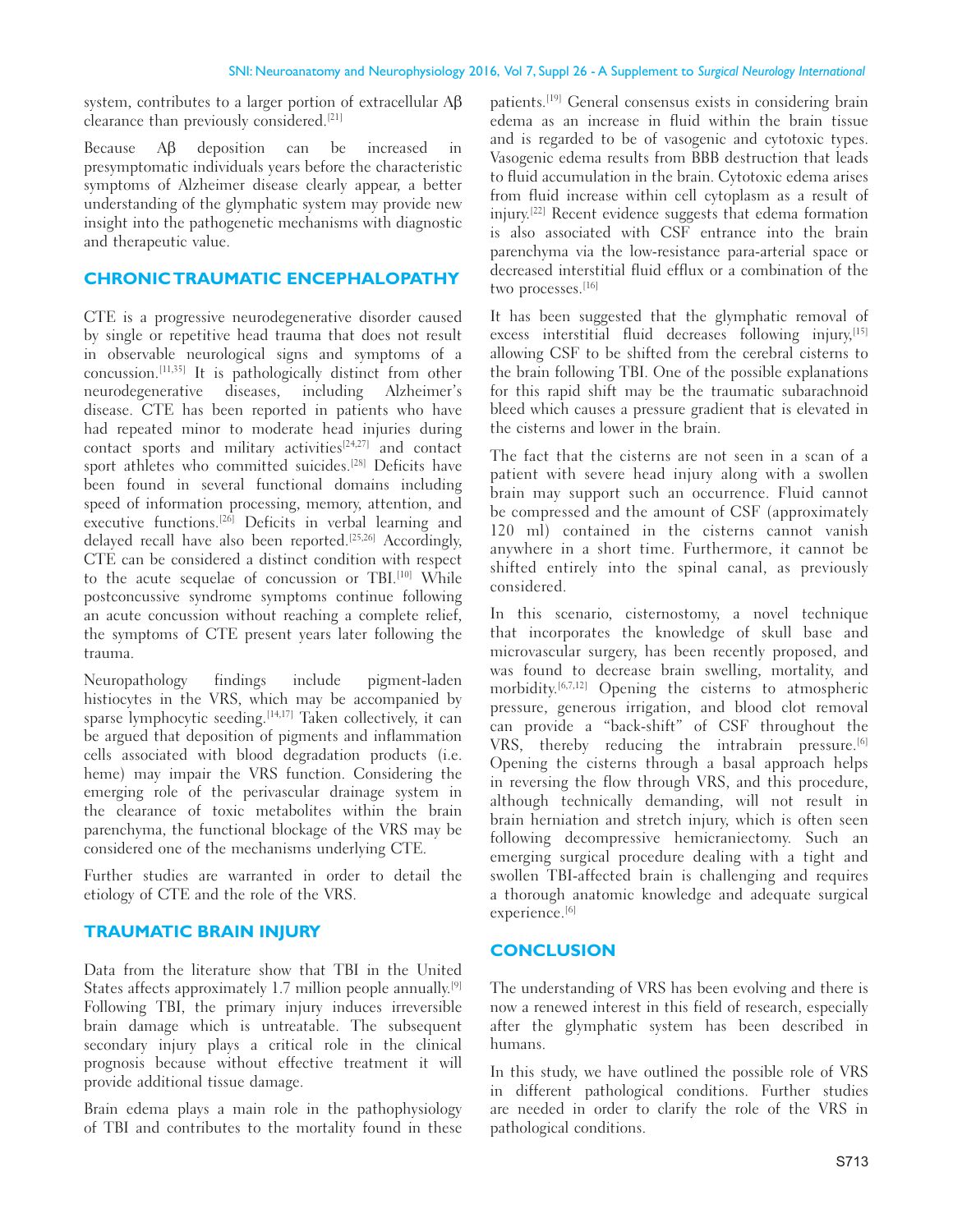system, contributes to a larger portion of extracellular Aβ clearance than previously considered.[21]

Because Aβ deposition can be increased in presymptomatic individuals years before the characteristic symptoms of Alzheimer disease clearly appear, a better understanding of the glymphatic system may provide new insight into the pathogenetic mechanisms with diagnostic and therapeutic value.

## **CHRONIC TRAUMATIC ENCEPHALOPATHY**

CTE is a progressive neurodegenerative disorder caused by single or repetitive head trauma that does not result in observable neurological signs and symptoms of a concussion.[11,35] It is pathologically distinct from other neurodegenerative diseases, including Alzheimer's disease. CTE has been reported in patients who have had repeated minor to moderate head injuries during contact sports and military activities $[24,27]$  and contact sport athletes who committed suicides.<sup>[28]</sup> Deficits have been found in several functional domains including speed of information processing, memory, attention, and executive functions.<sup>[26]</sup> Deficits in verbal learning and delayed recall have also been reported.<sup>[25,26]</sup> Accordingly, CTE can be considered a distinct condition with respect to the acute sequelae of concussion or TBI.<sup>[10]</sup> While postconcussive syndrome symptoms continue following an acute concussion without reaching a complete relief, the symptoms of CTE present years later following the trauma.

Neuropathology findings include pigment‑laden histiocytes in the VRS, which may be accompanied by sparse lymphocytic seeding.<sup>[14,17]</sup> Taken collectively, it can be argued that deposition of pigments and inflammation cells associated with blood degradation products (i.e. heme) may impair the VRS function. Considering the emerging role of the perivascular drainage system in the clearance of toxic metabolites within the brain parenchyma, the functional blockage of the VRS may be considered one of the mechanisms underlying CTE.

Further studies are warranted in order to detail the etiology of CTE and the role of the VRS.

# **TRAUMATIC BRAIN INJURY**

Data from the literature show that TBI in the United States affects approximately 1.7 million people annually.<sup>[9]</sup> Following TBI, the primary injury induces irreversible brain damage which is untreatable. The subsequent secondary injury plays a critical role in the clinical prognosis because without effective treatment it will provide additional tissue damage.

Brain edema plays a main role in the pathophysiology of TBI and contributes to the mortality found in these patients.[19] General consensus exists in considering brain edema as an increase in fluid within the brain tissue and is regarded to be of vasogenic and cytotoxic types. Vasogenic edema results from BBB destruction that leads to fluid accumulation in the brain. Cytotoxic edema arises from fluid increase within cell cytoplasm as a result of injury.[22] Recent evidence suggests that edema formation is also associated with CSF entrance into the brain parenchyma via the low‑resistance para‑arterial space or decreased interstitial fluid efflux or a combination of the two processes.<sup>[16]</sup>

It has been suggested that the glymphatic removal of excess interstitial fluid decreases following injury,<sup>[15]</sup> allowing CSF to be shifted from the cerebral cisterns to the brain following TBI. One of the possible explanations for this rapid shift may be the traumatic subarachnoid bleed which causes a pressure gradient that is elevated in the cisterns and lower in the brain.

The fact that the cisterns are not seen in a scan of a patient with severe head injury along with a swollen brain may support such an occurrence. Fluid cannot be compressed and the amount of CSF (approximately 120 ml) contained in the cisterns cannot vanish anywhere in a short time. Furthermore, it cannot be shifted entirely into the spinal canal, as previously considered.

In this scenario, cisternostomy, a novel technique that incorporates the knowledge of skull base and microvascular surgery, has been recently proposed, and was found to decrease brain swelling, mortality, and morbidity.[6,7,12] Opening the cisterns to atmospheric pressure, generous irrigation, and blood clot removal can provide a "back‑shift" of CSF throughout the VRS, thereby reducing the intrabrain pressure.<sup>[6]</sup> Opening the cisterns through a basal approach helps in reversing the flow through VRS, and this procedure, although technically demanding, will not result in brain herniation and stretch injury, which is often seen following decompressive hemicraniectomy. Such an emerging surgical procedure dealing with a tight and swollen TBI‑affected brain is challenging and requires a thorough anatomic knowledge and adequate surgical experience.<sup>[6]</sup>

# **CONCLUSION**

The understanding of VRS has been evolving and there is now a renewed interest in this field of research, especially after the glymphatic system has been described in humans.

In this study, we have outlined the possible role of VRS in different pathological conditions. Further studies are needed in order to clarify the role of the VRS in pathological conditions.